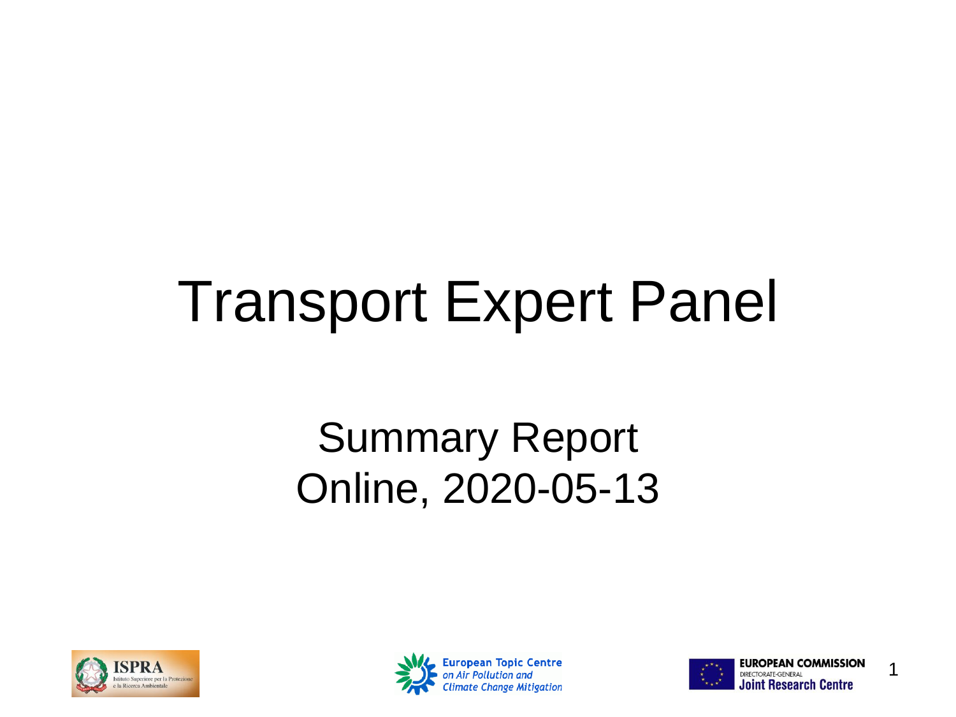#### Transport Expert Panel

#### Summary Report Online, 2020-05-13





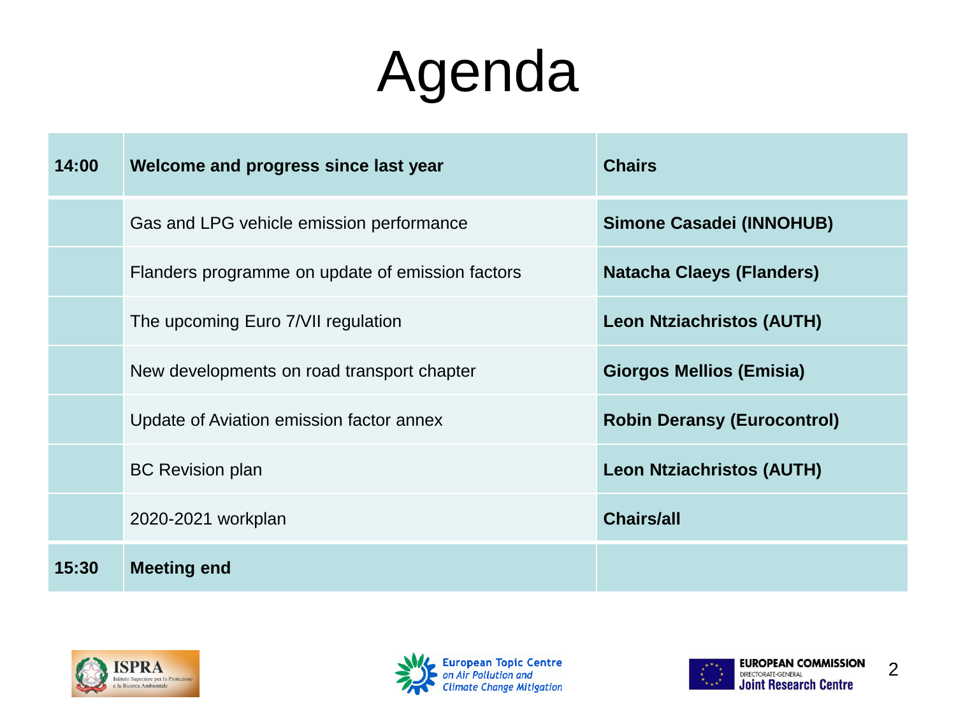## Agenda

| 14:00 | Welcome and progress since last year             | <b>Chairs</b>                      |
|-------|--------------------------------------------------|------------------------------------|
|       | Gas and LPG vehicle emission performance         | <b>Simone Casadei (INNOHUB)</b>    |
|       | Flanders programme on update of emission factors | <b>Natacha Claeys (Flanders)</b>   |
|       | The upcoming Euro 7/VII regulation               | <b>Leon Ntziachristos (AUTH)</b>   |
|       | New developments on road transport chapter       | <b>Giorgos Mellios (Emisia)</b>    |
|       | Update of Aviation emission factor annex         | <b>Robin Deransy (Eurocontrol)</b> |
|       | <b>BC Revision plan</b>                          | <b>Leon Ntziachristos (AUTH)</b>   |
|       | 2020-2021 workplan                               | <b>Chairs/all</b>                  |
| 15:30 | <b>Meeting end</b>                               |                                    |





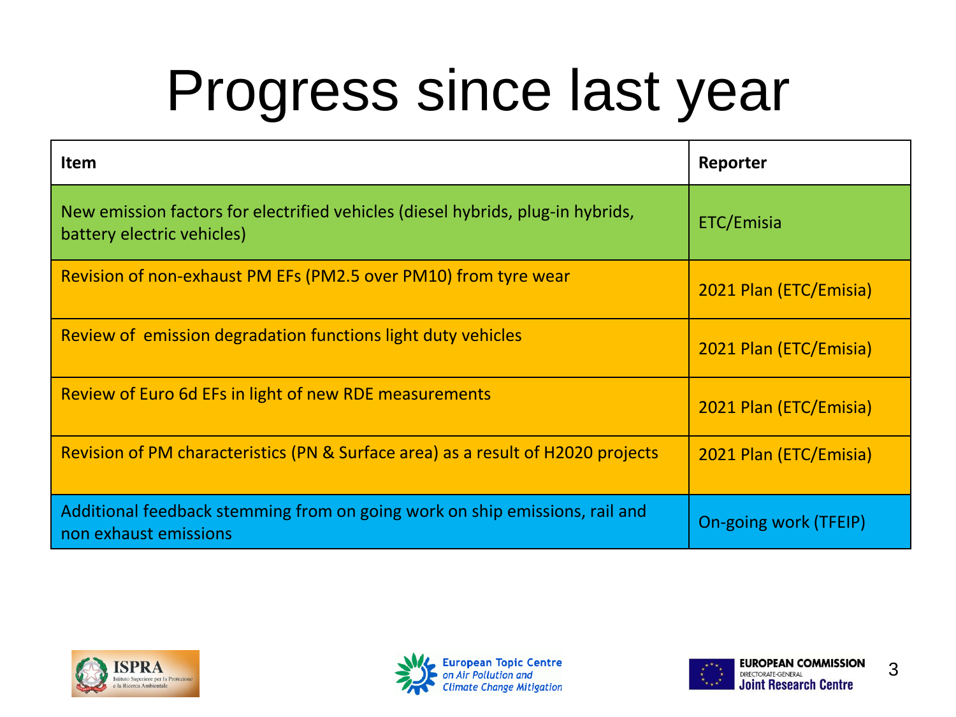## Progress since last year

| <b>Item</b>                                                                                                   | Reporter               |
|---------------------------------------------------------------------------------------------------------------|------------------------|
| New emission factors for electrified vehicles (diesel hybrids, plug-in hybrids,<br>battery electric vehicles) | ETC/Emisia             |
| Revision of non-exhaust PM EFs (PM2.5 over PM10) from tyre wear                                               | 2021 Plan (ETC/Emisia) |
| Review of emission degradation functions light duty vehicles                                                  | 2021 Plan (ETC/Emisia) |
| Review of Euro 6d EFs in light of new RDE measurements                                                        | 2021 Plan (ETC/Emisia) |
| Revision of PM characteristics (PN & Surface area) as a result of H2020 projects                              | 2021 Plan (ETC/Emisia) |
| Additional feedback stemming from on going work on ship emissions, rail and<br>non exhaust emissions          | On-going work (TFEIP)  |





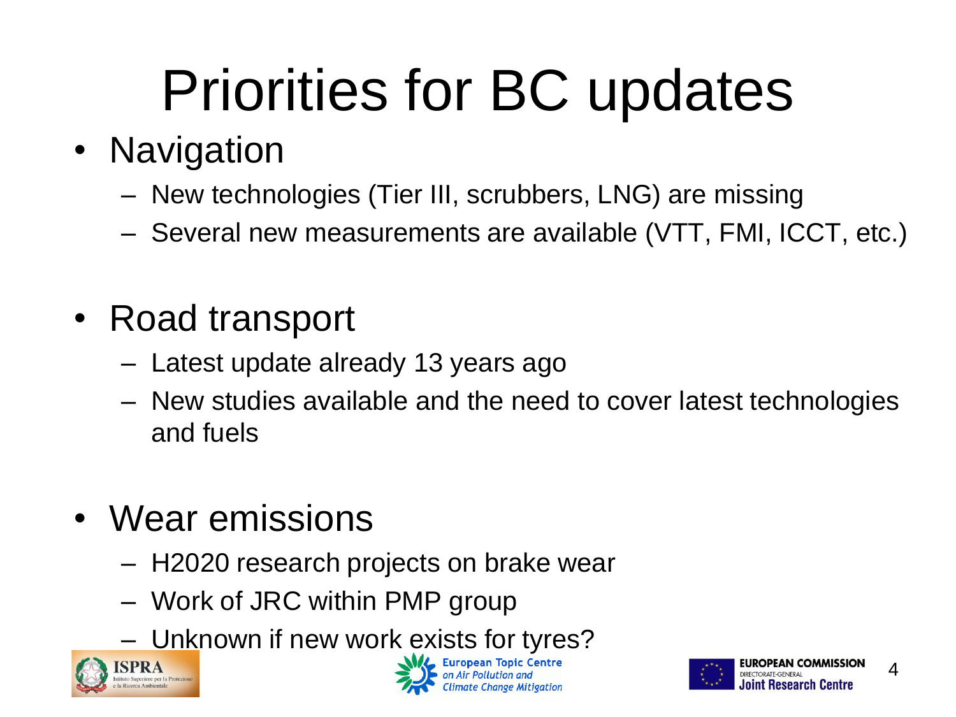# Priorities for BC updates

#### • Navigation

- New technologies (Tier III, scrubbers, LNG) are missing
- Several new measurements are available (VTT, FMI, ICCT, etc.)
- Road transport
	- Latest update already 13 years ago
	- New studies available and the need to cover latest technologies and fuels
- Wear emissions
	- H2020 research projects on brake wear
	- Work of JRC within PMP group
	- Unknown if new work exists for tyres?